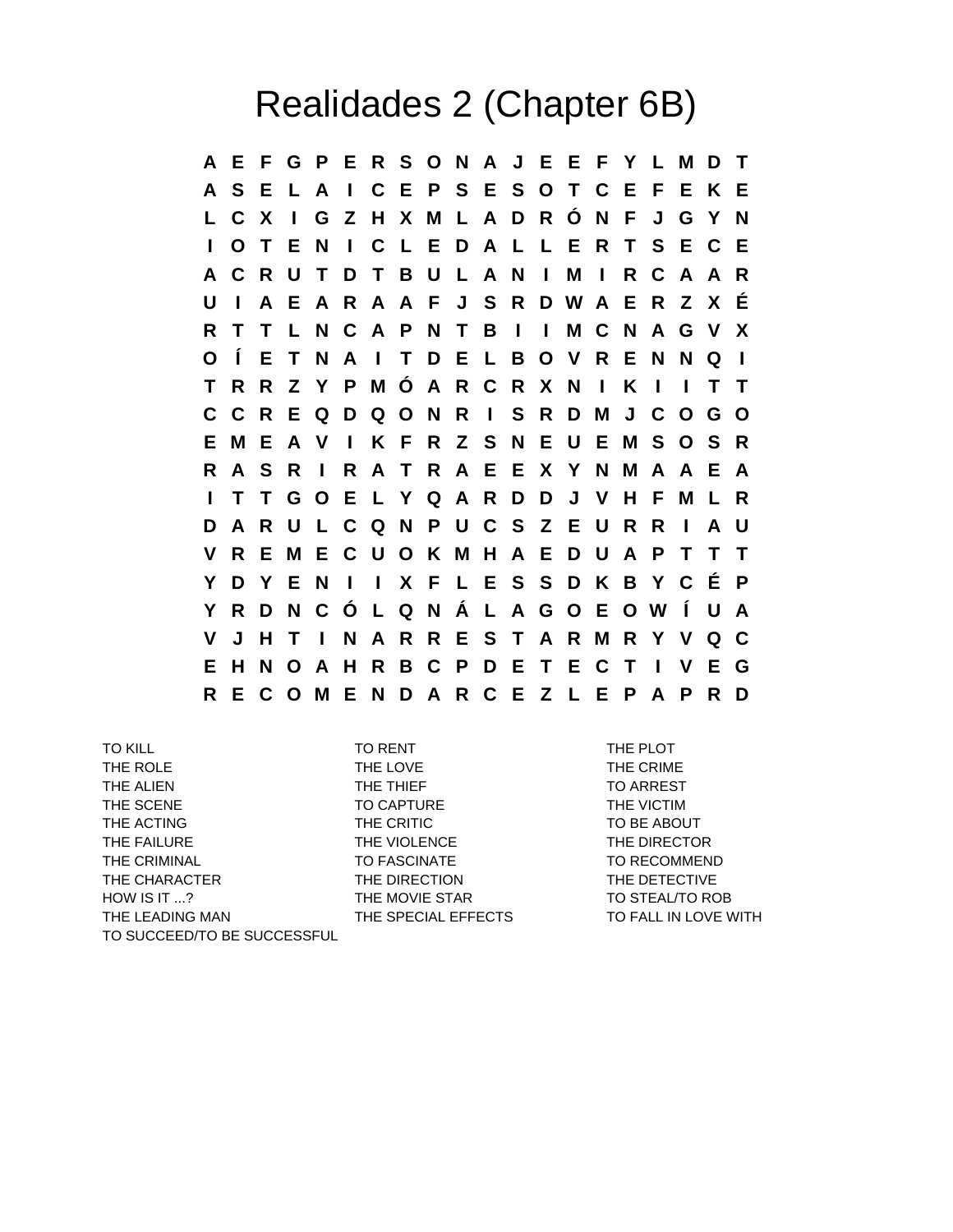## Realidades 2 (Chapter 6B)

**A E F G P E R S O N A J E E F Y L M D T A S E L A I C E P S E S O T C E F E K E L C X I G Z H X M L A D R Ó N F J G Y N I O T E N I C L E D A L L E R T S E C E A C R U T D T B U L A N I M I R C A A R U I A E A R A A F J S R D W A E R Z X É R T T L N C A P N T B I I M C N A G V X O Í E T N A I T D E L B O V R E N N Q I T R R Z Y P M Ó A R C R X N I K I I T T C C R E Q D Q O N R I S R D M J C O G O E M E A V I K F R Z S N E U E M S O S R R A S R I R A T R A E E X Y N M A A E A I T T G O E L Y Q A R D D J V H F M L R D A R U L C Q N P U C S Z E U R R I A U V R E M E C U O K M H A E D U A P T T T Y D Y E N I I X F L E S S D K B Y C É P Y R D N C Ó L Q N Á L A G O E O W Í U A V J H T I N A R R E S T A R M R Y V Q C E H N O A H R B C P D E T E C T I V E G R E C O M E N D A R C E Z L E P A P R D**

TO KILL TO RENT THE PLOT THE ROLE THE LOVE THE LOVE THE CRIME THE ALIEN THE THIEF THE THIEF TO ARREST THE SCENE TO CAPTURE TO CAPTURE THE VICTIM THE ACTING THE CRITIC THE CRITIC TO BE ABOUT THE FAILURE THE VIOLENCE THE THE DIRECTOR THE CRIMINAL TO FASCINATE THE CRIMINAL TO RECOMMEND THE CHARACTER THE DIRECTION THE DETECTIVE HOW IS IT ...? THE MOVIE STAR TO STEAL/TO ROB THE LEADING MAN THE SPECIAL EFFECTS TO FALL IN LOVE WITH TO SUCCEED/TO BE SUCCESSFUL